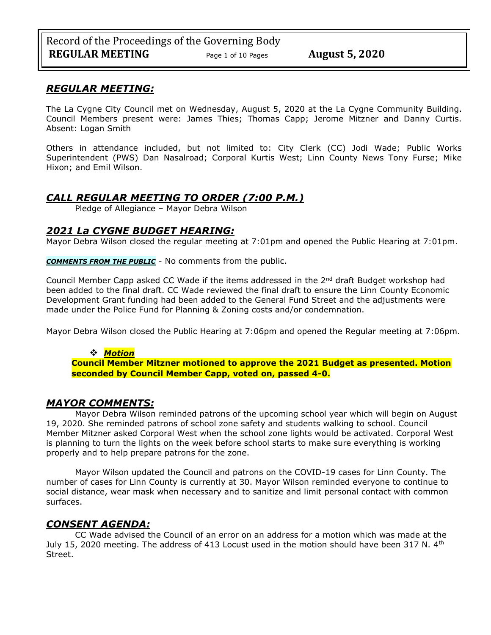## *REGULAR MEETING:*

The La Cygne City Council met on Wednesday, August 5, 2020 at the La Cygne Community Building. Council Members present were: James Thies; Thomas Capp; Jerome Mitzner and Danny Curtis. Absent: Logan Smith

Others in attendance included, but not limited to: City Clerk (CC) Jodi Wade; Public Works Superintendent (PWS) Dan Nasalroad; Corporal Kurtis West; Linn County News Tony Furse; Mike Hixon; and Emil Wilson.

# *CALL REGULAR MEETING TO ORDER (7:00 P.M.)*

Pledge of Allegiance – Mayor Debra Wilson

## *2021 La CYGNE BUDGET HEARING:*

Mayor Debra Wilson closed the regular meeting at 7:01pm and opened the Public Hearing at 7:01pm.

*COMMENTS FROM THE PUBLIC* - No comments from the public.

Council Member Capp asked CC Wade if the items addressed in the  $2^{nd}$  draft Budget workshop had been added to the final draft. CC Wade reviewed the final draft to ensure the Linn County Economic Development Grant funding had been added to the General Fund Street and the adjustments were made under the Police Fund for Planning & Zoning costs and/or condemnation.

Mayor Debra Wilson closed the Public Hearing at 7:06pm and opened the Regular meeting at 7:06pm.

# ❖ *Motion*

**Council Member Mitzner motioned to approve the 2021 Budget as presented. Motion seconded by Council Member Capp, voted on, passed 4-0.** 

# *MAYOR COMMENTS:*

Mayor Debra Wilson reminded patrons of the upcoming school year which will begin on August 19, 2020. She reminded patrons of school zone safety and students walking to school. Council Member Mitzner asked Corporal West when the school zone lights would be activated. Corporal West is planning to turn the lights on the week before school starts to make sure everything is working properly and to help prepare patrons for the zone.

Mayor Wilson updated the Council and patrons on the COVID-19 cases for Linn County. The number of cases for Linn County is currently at 30. Mayor Wilson reminded everyone to continue to social distance, wear mask when necessary and to sanitize and limit personal contact with common surfaces.

# *CONSENT AGENDA:*

CC Wade advised the Council of an error on an address for a motion which was made at the July 15, 2020 meeting. The address of 413 Locust used in the motion should have been 317 N.  $4<sup>th</sup>$ Street.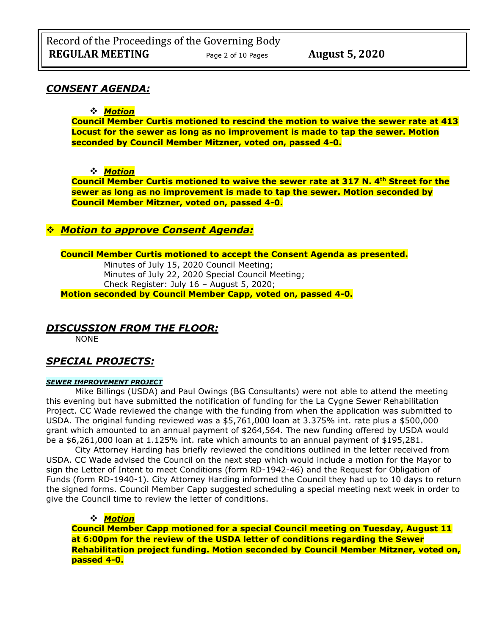### *CONSENT AGENDA:*

### ❖ *Motion*

**Council Member Curtis motioned to rescind the motion to waive the sewer rate at 413 Locust for the sewer as long as no improvement is made to tap the sewer. Motion seconded by Council Member Mitzner, voted on, passed 4-0.** 

### ❖ *Motion*

**Council Member Curtis motioned to waive the sewer rate at 317 N. 4th Street for the sewer as long as no improvement is made to tap the sewer. Motion seconded by Council Member Mitzner, voted on, passed 4-0.** 

# ❖ *Motion to approve Consent Agenda:*

#### **Council Member Curtis motioned to accept the Consent Agenda as presented.**

Minutes of July 15, 2020 Council Meeting; Minutes of July 22, 2020 Special Council Meeting; Check Register: July 16 – August 5, 2020; **Motion seconded by Council Member Capp, voted on, passed 4-0.** 

# *DISCUSSION FROM THE FLOOR:*

NONE

# *SPECIAL PROJECTS:*

### *SEWER IMPROVEMENT PROJECT*

Mike Billings (USDA) and Paul Owings (BG Consultants) were not able to attend the meeting this evening but have submitted the notification of funding for the La Cygne Sewer Rehabilitation Project. CC Wade reviewed the change with the funding from when the application was submitted to USDA. The original funding reviewed was a \$5,761,000 loan at 3.375% int. rate plus a \$500,000 grant which amounted to an annual payment of \$264,564. The new funding offered by USDA would be a \$6,261,000 loan at 1.125% int. rate which amounts to an annual payment of \$195,281.

City Attorney Harding has briefly reviewed the conditions outlined in the letter received from USDA. CC Wade advised the Council on the next step which would include a motion for the Mayor to sign the Letter of Intent to meet Conditions (form RD-1942-46) and the Request for Obligation of Funds (form RD-1940-1). City Attorney Harding informed the Council they had up to 10 days to return the signed forms. Council Member Capp suggested scheduling a special meeting next week in order to give the Council time to review the letter of conditions.

### ❖ *Motion*

**Council Member Capp motioned for a special Council meeting on Tuesday, August 11 at 6:00pm for the review of the USDA letter of conditions regarding the Sewer Rehabilitation project funding. Motion seconded by Council Member Mitzner, voted on, passed 4-0.**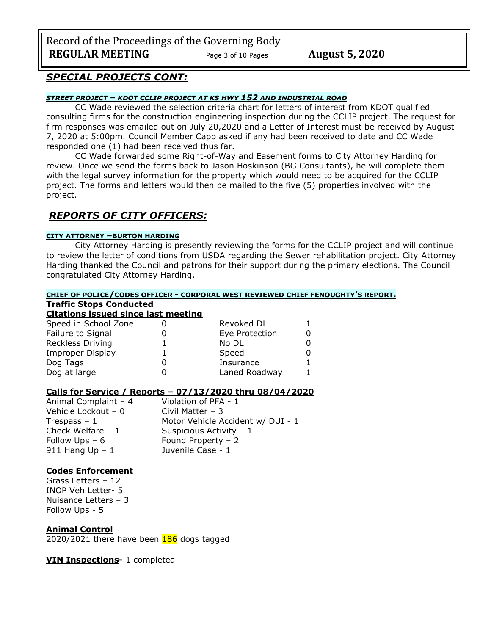Record of the Proceedings of the Governing Body **REGULAR MEETING** Page <sup>3</sup> of 10 Pages **August 5, 2020**

# *SPECIAL PROJECTS CONT:*

### *STREET PROJECT – KDOT CCLIP PROJECT AT KS HWY 152 AND INDUSTRIAL ROAD*

CC Wade reviewed the selection criteria chart for letters of interest from KDOT qualified consulting firms for the construction engineering inspection during the CCLIP project. The request for firm responses was emailed out on July 20,2020 and a Letter of Interest must be received by August 7, 2020 at 5:00pm. Council Member Capp asked if any had been received to date and CC Wade responded one (1) had been received thus far.

CC Wade forwarded some Right-of-Way and Easement forms to City Attorney Harding for review. Once we send the forms back to Jason Hoskinson (BG Consultants), he will complete them with the legal survey information for the property which would need to be acquired for the CCLIP project. The forms and letters would then be mailed to the five (5) properties involved with the project.

# *REPORTS OF CITY OFFICERS:*

#### **CITY ATTORNEY –BURTON HARDING**

City Attorney Harding is presently reviewing the forms for the CCLIP project and will continue to review the letter of conditions from USDA regarding the Sewer rehabilitation project. City Attorney Harding thanked the Council and patrons for their support during the primary elections. The Council congratulated City Attorney Harding.

### **CHIEF OF POLICE/CODES OFFICER - CORPORAL WEST REVIEWED CHIEF FENOUGHTY'S REPORT.**

### **Traffic Stops Conducted**

**Citations issued since last meeting**

| Speed in School Zone    | Revoked DL     | 1. |
|-------------------------|----------------|----|
| Failure to Signal       | Eye Protection | 0  |
| <b>Reckless Driving</b> | No DL          | 0  |
| <b>Improper Display</b> | Speed          | 0  |
| Dog Tags                | Insurance      |    |
| Dog at large            | Laned Roadway  | 1  |

#### **Calls for Service / Reports – 07/13/2020 thru 08/04/2020**

| Animal Complaint - 4 | Violation of PFA - 1              |  |
|----------------------|-----------------------------------|--|
| Vehicle Lockout - 0  | Civil Matter $-3$                 |  |
| Trespass $-1$        | Motor Vehicle Accident w/ DUI - 1 |  |
| Check Welfare $-1$   | Suspicious Activity - 1           |  |
| Follow Ups $-6$      | Found Property $-2$               |  |
| 911 Hang $Up - 1$    | Juvenile Case - 1                 |  |

### **Codes Enforcement**

Grass Letters – 12 INOP Veh Letter- 5 Nuisance Letters – 3 Follow Ups - 5

### **Animal Control**

2020/2021 there have been  $186$  dogs tagged

**VIN Inspections-** 1 completed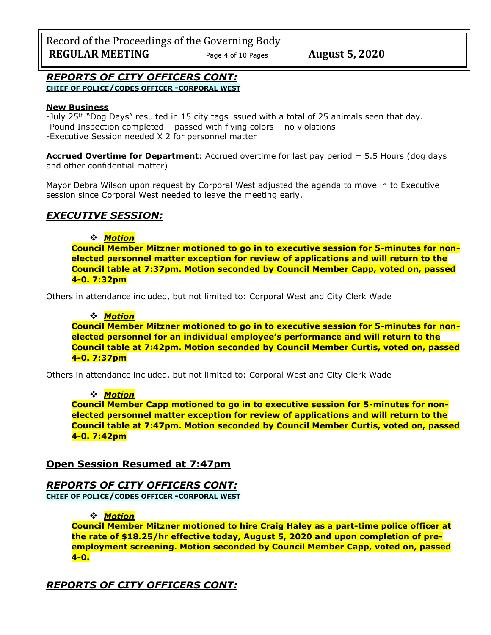Record of the Proceedings of the Governing Body **REGULAR MEETING** Page <sup>4</sup> of 10 Pages **August 5, 2020**

# *REPORTS OF CITY OFFICERS CONT:* **CHIEF OF POLICE/CODES OFFICER -CORPORAL WEST**

### **New Business**

-July 25<sup>th</sup> "Dog Days" resulted in 15 city tags issued with a total of 25 animals seen that day.

- -Pound Inspection completed passed with flying colors no violations
- -Executive Session needed X 2 for personnel matter

**Accrued Overtime for Department**: Accrued overtime for last pay period = 5.5 Hours (dog days and other confidential matter)

Mayor Debra Wilson upon request by Corporal West adjusted the agenda to move in to Executive session since Corporal West needed to leave the meeting early.

# *EXECUTIVE SESSION:*

# ❖ *Motion*

**Council Member Mitzner motioned to go in to executive session for 5-minutes for nonelected personnel matter exception for review of applications and will return to the Council table at 7:37pm. Motion seconded by Council Member Capp, voted on, passed 4-0. 7:32pm** 

Others in attendance included, but not limited to: Corporal West and City Clerk Wade

### ❖ *Motion*

**Council Member Mitzner motioned to go in to executive session for 5-minutes for nonelected personnel for an individual employee's performance and will return to the Council table at 7:42pm. Motion seconded by Council Member Curtis, voted on, passed 4-0. 7:37pm** 

Others in attendance included, but not limited to: Corporal West and City Clerk Wade

### ❖ *Motion*

**Council Member Capp motioned to go in to executive session for 5-minutes for nonelected personnel matter exception for review of applications and will return to the Council table at 7:47pm. Motion seconded by Council Member Curtis, voted on, passed 4-0. 7:42pm** 

# **Open Session Resumed at 7:47pm**

## *REPORTS OF CITY OFFICERS CONT:* **CHIEF OF POLICE/CODES OFFICER -CORPORAL WEST**

❖ *Motion* 

**Council Member Mitzner motioned to hire Craig Haley as a part-time police officer at the rate of \$18.25/hr effective today, August 5, 2020 and upon completion of preemployment screening. Motion seconded by Council Member Capp, voted on, passed 4-0.** 

# *REPORTS OF CITY OFFICERS CONT:*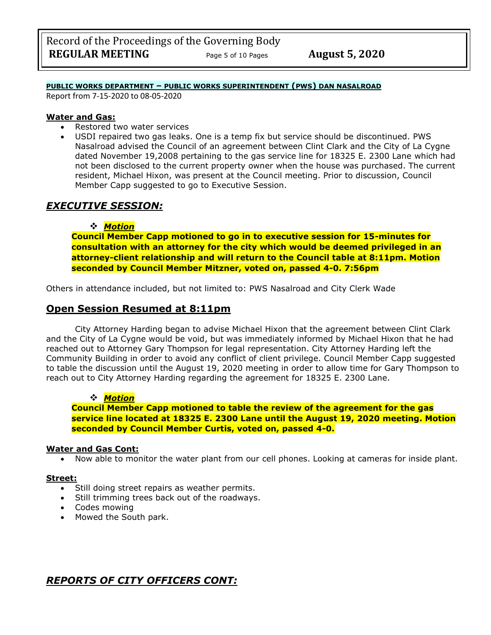### **PUBLIC WORKS DEPARTMENT – PUBLIC WORKS SUPERINTENDENT (PWS) DAN NASALROAD**

Report from 7-15-2020 to 08-05-2020

### **Water and Gas:**

- Restored two water services
- USDI repaired two gas leaks. One is a temp fix but service should be discontinued. PWS Nasalroad advised the Council of an agreement between Clint Clark and the City of La Cygne dated November 19,2008 pertaining to the gas service line for 18325 E. 2300 Lane which had not been disclosed to the current property owner when the house was purchased. The current resident, Michael Hixon, was present at the Council meeting. Prior to discussion, Council Member Capp suggested to go to Executive Session.

### *EXECUTIVE SESSION:*

### ❖ *Motion*

**Council Member Capp motioned to go in to executive session for 15-minutes for consultation with an attorney for the city which would be deemed privileged in an attorney-client relationship and will return to the Council table at 8:11pm. Motion seconded by Council Member Mitzner, voted on, passed 4-0. 7:56pm** 

Others in attendance included, but not limited to: PWS Nasalroad and City Clerk Wade

### **Open Session Resumed at 8:11pm**

City Attorney Harding began to advise Michael Hixon that the agreement between Clint Clark and the City of La Cygne would be void, but was immediately informed by Michael Hixon that he had reached out to Attorney Gary Thompson for legal representation. City Attorney Harding left the Community Building in order to avoid any conflict of client privilege. Council Member Capp suggested to table the discussion until the August 19, 2020 meeting in order to allow time for Gary Thompson to reach out to City Attorney Harding regarding the agreement for 18325 E. 2300 Lane.

#### ❖ *Motion*

**Council Member Capp motioned to table the review of the agreement for the gas service line located at 18325 E. 2300 Lane until the August 19, 2020 meeting. Motion seconded by Council Member Curtis, voted on, passed 4-0.** 

#### **Water and Gas Cont:**

• Now able to monitor the water plant from our cell phones. Looking at cameras for inside plant.

#### **Street:**

- Still doing street repairs as weather permits.
- Still trimming trees back out of the roadways.
- Codes mowing
- Mowed the South park.

# *REPORTS OF CITY OFFICERS CONT:*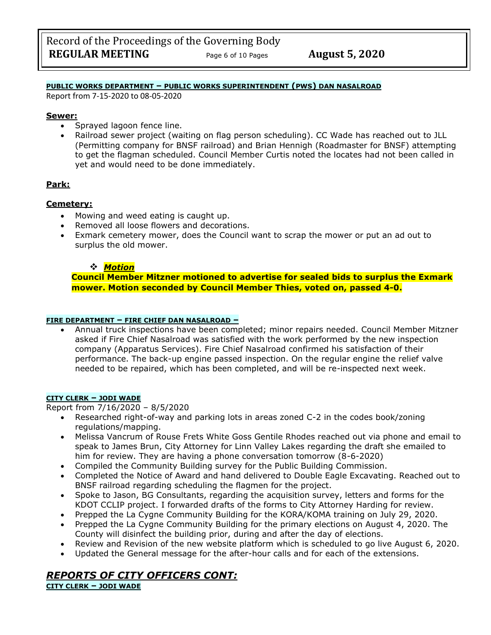### **PUBLIC WORKS DEPARTMENT – PUBLIC WORKS SUPERINTENDENT (PWS) DAN NASALROAD**

Report from 7-15-2020 to 08-05-2020

#### **Sewer:**

- Sprayed lagoon fence line.
- Railroad sewer project (waiting on flag person scheduling). CC Wade has reached out to JLL (Permitting company for BNSF railroad) and Brian Hennigh (Roadmaster for BNSF) attempting to get the flagman scheduled. Council Member Curtis noted the locates had not been called in yet and would need to be done immediately.

### **Park:**

### **Cemetery:**

- Mowing and weed eating is caught up.
- Removed all loose flowers and decorations.
- Exmark cemetery mower, does the Council want to scrap the mower or put an ad out to surplus the old mower.

### ❖ *Motion*

**Council Member Mitzner motioned to advertise for sealed bids to surplus the Exmark mower. Motion seconded by Council Member Thies, voted on, passed 4-0.** 

### **FIRE DEPARTMENT – FIRE CHIEF DAN NASALROAD –**

• Annual truck inspections have been completed; minor repairs needed. Council Member Mitzner asked if Fire Chief Nasalroad was satisfied with the work performed by the new inspection company (Apparatus Services). Fire Chief Nasalroad confirmed his satisfaction of their performance. The back-up engine passed inspection. On the regular engine the relief valve needed to be repaired, which has been completed, and will be re-inspected next week.

#### **CITY CLERK – JODI WADE**

Report from 7/16/2020 – 8/5/2020

- Researched right-of-way and parking lots in areas zoned C-2 in the codes book/zoning regulations/mapping.
- Melissa Vancrum of Rouse Frets White Goss Gentile Rhodes reached out via phone and email to speak to James Brun, City Attorney for Linn Valley Lakes regarding the draft she emailed to him for review. They are having a phone conversation tomorrow (8-6-2020)
- Compiled the Community Building survey for the Public Building Commission.
- Completed the Notice of Award and hand delivered to Double Eagle Excavating. Reached out to BNSF railroad regarding scheduling the flagmen for the project.
- Spoke to Jason, BG Consultants, regarding the acquisition survey, letters and forms for the KDOT CCLIP project. I forwarded drafts of the forms to City Attorney Harding for review.
- Prepped the La Cygne Community Building for the KORA/KOMA training on July 29, 2020.
- Prepped the La Cygne Community Building for the primary elections on August 4, 2020. The County will disinfect the building prior, during and after the day of elections.
- Review and Revision of the new website platform which is scheduled to go live August 6, 2020.
- Updated the General message for the after-hour calls and for each of the extensions.

# *REPORTS OF CITY OFFICERS CONT:*

**CITY CLERK – JODI WADE**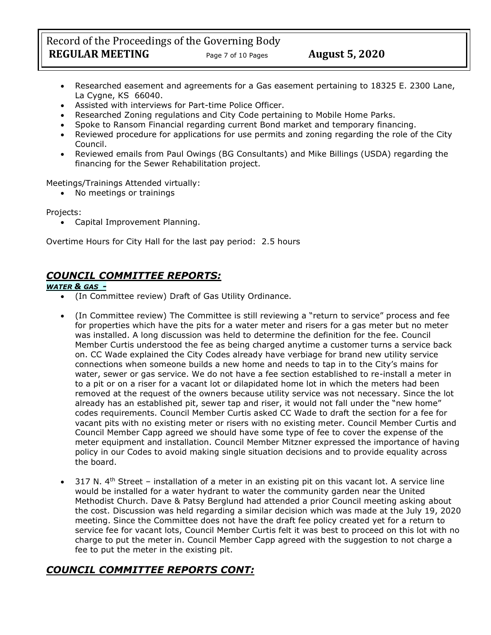Record of the Proceedings of the Governing Body **REGULAR MEETING** Page <sup>7</sup> of 10 Pages **August 5, 2020**

- Researched easement and agreements for a Gas easement pertaining to 18325 E. 2300 Lane, La Cygne, KS 66040.
- Assisted with interviews for Part-time Police Officer.
- Researched Zoning regulations and City Code pertaining to Mobile Home Parks.
- Spoke to Ransom Financial regarding current Bond market and temporary financing.
- Reviewed procedure for applications for use permits and zoning regarding the role of the City Council.
- Reviewed emails from Paul Owings (BG Consultants) and Mike Billings (USDA) regarding the financing for the Sewer Rehabilitation project.

Meetings/Trainings Attended virtually:

• No meetings or trainings

Projects:

• Capital Improvement Planning.

Overtime Hours for City Hall for the last pay period: 2.5 hours

# *COUNCIL COMMITTEE REPORTS:*

### *WATER & GAS -*

- (In Committee review) Draft of Gas Utility Ordinance.
- (In Committee review) The Committee is still reviewing a "return to service" process and fee for properties which have the pits for a water meter and risers for a gas meter but no meter was installed. A long discussion was held to determine the definition for the fee. Council Member Curtis understood the fee as being charged anytime a customer turns a service back on. CC Wade explained the City Codes already have verbiage for brand new utility service connections when someone builds a new home and needs to tap in to the City's mains for water, sewer or gas service. We do not have a fee section established to re-install a meter in to a pit or on a riser for a vacant lot or dilapidated home lot in which the meters had been removed at the request of the owners because utility service was not necessary. Since the lot already has an established pit, sewer tap and riser, it would not fall under the "new home" codes requirements. Council Member Curtis asked CC Wade to draft the section for a fee for vacant pits with no existing meter or risers with no existing meter. Council Member Curtis and Council Member Capp agreed we should have some type of fee to cover the expense of the meter equipment and installation. Council Member Mitzner expressed the importance of having policy in our Codes to avoid making single situation decisions and to provide equality across the board.
- 317 N.  $4<sup>th</sup>$  Street installation of a meter in an existing pit on this vacant lot. A service line would be installed for a water hydrant to water the community garden near the United Methodist Church. Dave & Patsy Berglund had attended a prior Council meeting asking about the cost. Discussion was held regarding a similar decision which was made at the July 19, 2020 meeting. Since the Committee does not have the draft fee policy created yet for a return to service fee for vacant lots, Council Member Curtis felt it was best to proceed on this lot with no charge to put the meter in. Council Member Capp agreed with the suggestion to not charge a fee to put the meter in the existing pit.

# *COUNCIL COMMITTEE REPORTS CONT:*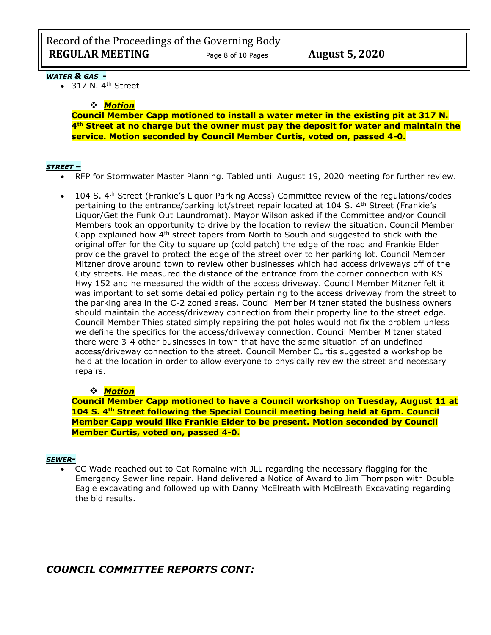### *WATER & GAS -*

 $\bullet$  317 N. 4<sup>th</sup> Street

### ❖ *Motion*

**Council Member Capp motioned to install a water meter in the existing pit at 317 N. 4th Street at no charge but the owner must pay the deposit for water and maintain the service. Motion seconded by Council Member Curtis, voted on, passed 4-0.** 

#### *STREET –*

- RFP for Stormwater Master Planning. Tabled until August 19, 2020 meeting for further review.
- 104 S. 4<sup>th</sup> Street (Frankie's Liquor Parking Acess) Committee review of the regulations/codes pertaining to the entrance/parking lot/street repair located at 104 S.  $4^{\text{th}}$  Street (Frankie's Liquor/Get the Funk Out Laundromat). Mayor Wilson asked if the Committee and/or Council Members took an opportunity to drive by the location to review the situation. Council Member Capp explained how  $4<sup>th</sup>$  street tapers from North to South and suggested to stick with the original offer for the City to square up (cold patch) the edge of the road and Frankie Elder provide the gravel to protect the edge of the street over to her parking lot. Council Member Mitzner drove around town to review other businesses which had access driveways off of the City streets. He measured the distance of the entrance from the corner connection with KS Hwy 152 and he measured the width of the access driveway. Council Member Mitzner felt it was important to set some detailed policy pertaining to the access driveway from the street to the parking area in the C-2 zoned areas. Council Member Mitzner stated the business owners should maintain the access/driveway connection from their property line to the street edge. Council Member Thies stated simply repairing the pot holes would not fix the problem unless we define the specifics for the access/driveway connection. Council Member Mitzner stated there were 3-4 other businesses in town that have the same situation of an undefined access/driveway connection to the street. Council Member Curtis suggested a workshop be held at the location in order to allow everyone to physically review the street and necessary repairs.

### ❖ *Motion*

**Council Member Capp motioned to have a Council workshop on Tuesday, August 11 at 104 S. 4th Street following the Special Council meeting being held at 6pm. Council Member Capp would like Frankie Elder to be present. Motion seconded by Council Member Curtis, voted on, passed 4-0.** 

#### *SEWER-*

• CC Wade reached out to Cat Romaine with JLL regarding the necessary flagging for the Emergency Sewer line repair. Hand delivered a Notice of Award to Jim Thompson with Double Eagle excavating and followed up with Danny McElreath with McElreath Excavating regarding the bid results.

# *COUNCIL COMMITTEE REPORTS CONT:*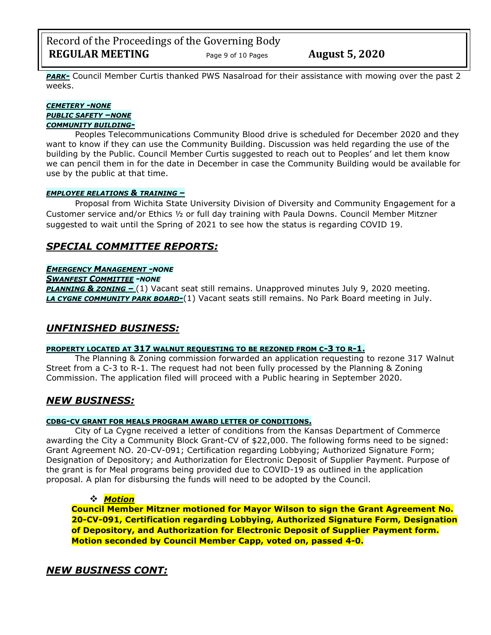**PARK**- Council Member Curtis thanked PWS Nasalroad for their assistance with mowing over the past 2 weeks.

#### *CEMETERY -NONE PUBLIC SAFETY –NONE COMMUNITY BUILDING-*

Peoples Telecommunications Community Blood drive is scheduled for December 2020 and they want to know if they can use the Community Building. Discussion was held regarding the use of the building by the Public. Council Member Curtis suggested to reach out to Peoples' and let them know we can pencil them in for the date in December in case the Community Building would be available for use by the public at that time.

### *EMPLOYEE RELATIONS & TRAINING –*

Proposal from Wichita State University Division of Diversity and Community Engagement for a Customer service and/or Ethics ½ or full day training with Paula Downs. Council Member Mitzner suggested to wait until the Spring of 2021 to see how the status is regarding COVID 19.

# *SPECIAL COMMITTEE REPORTS:*

### *EMERGENCY MANAGEMENT -NONE*

### *SWANFEST COMMITTEE -NONE*

**PLANNING & ZONING –** (1) Vacant seat still remains. Unapproved minutes July 9, 2020 meeting. *LA CYGNE COMMUNITY PARK BOARD-*(1) Vacant seats still remains. No Park Board meeting in July.

# *UNFINISHED BUSINESS:*

### **PROPERTY LOCATED AT 317 WALNUT REQUESTING TO BE REZONED FROM C-3 TO R-1.**

The Planning & Zoning commission forwarded an application requesting to rezone 317 Walnut Street from a C-3 to R-1. The request had not been fully processed by the Planning & Zoning Commission. The application filed will proceed with a Public hearing in September 2020.

# *NEW BUSINESS:*

### **CDBG-CV GRANT FOR MEALS PROGRAM AWARD LETTER OF CONDITIONS.**

City of La Cygne received a letter of conditions from the Kansas Department of Commerce awarding the City a Community Block Grant-CV of \$22,000. The following forms need to be signed: Grant Agreement NO. 20-CV-091; Certification regarding Lobbying; Authorized Signature Form; Designation of Depository; and Authorization for Electronic Deposit of Supplier Payment. Purpose of the grant is for Meal programs being provided due to COVID-19 as outlined in the application proposal. A plan for disbursing the funds will need to be adopted by the Council.

### ❖ *Motion*

**Council Member Mitzner motioned for Mayor Wilson to sign the Grant Agreement No. 20-CV-091, Certification regarding Lobbying, Authorized Signature Form, Designation of Depository, and Authorization for Electronic Deposit of Supplier Payment form. Motion seconded by Council Member Capp, voted on, passed 4-0.** 

# *NEW BUSINESS CONT:*